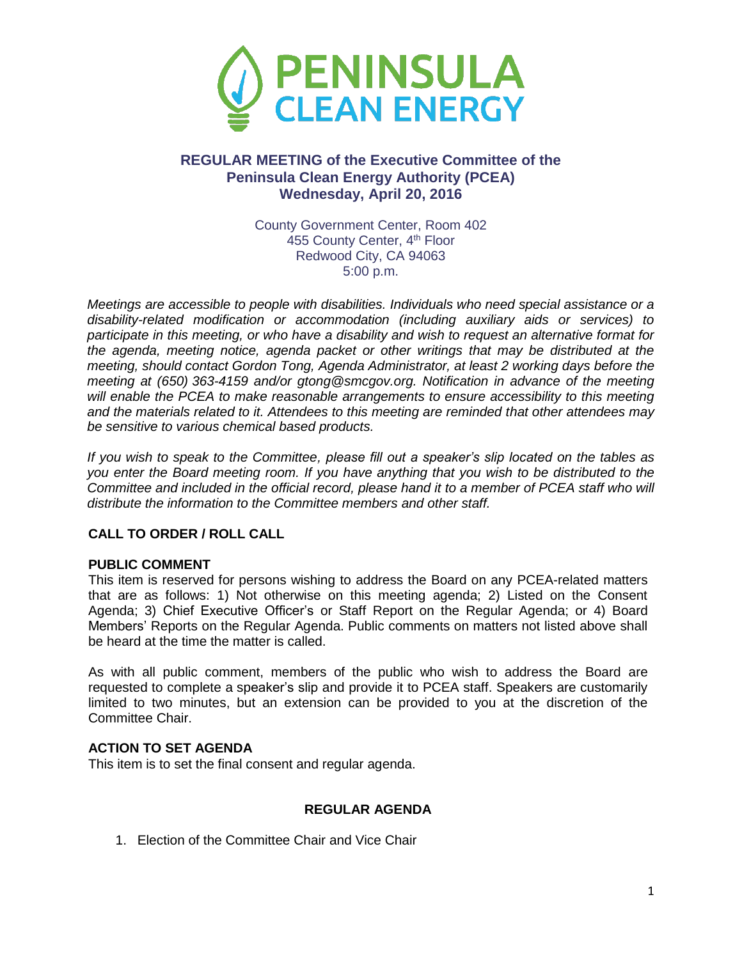

# **REGULAR MEETING of the Executive Committee of the Peninsula Clean Energy Authority (PCEA) Wednesday, April 20, 2016**

County Government Center, Room 402 455 County Center, 4<sup>th</sup> Floor Redwood City, CA 94063 5:00 p.m.

*Meetings are accessible to people with disabilities. Individuals who need special assistance or a disability-related modification or accommodation (including auxiliary aids or services) to participate in this meeting, or who have a disability and wish to request an alternative format for the agenda, meeting notice, agenda packet or other writings that may be distributed at the meeting, should contact Gordon Tong, Agenda Administrator, at least 2 working days before the meeting at (650) 363-4159 and/or gtong@smcgov.org. Notification in advance of the meeting will enable the PCEA to make reasonable arrangements to ensure accessibility to this meeting and the materials related to it. Attendees to this meeting are reminded that other attendees may be sensitive to various chemical based products.*

*If you wish to speak to the Committee, please fill out a speaker's slip located on the tables as you enter the Board meeting room. If you have anything that you wish to be distributed to the Committee and included in the official record, please hand it to a member of PCEA staff who will distribute the information to the Committee members and other staff.*

## **CALL TO ORDER / ROLL CALL**

### **PUBLIC COMMENT**

This item is reserved for persons wishing to address the Board on any PCEA-related matters that are as follows: 1) Not otherwise on this meeting agenda; 2) Listed on the Consent Agenda; 3) Chief Executive Officer's or Staff Report on the Regular Agenda; or 4) Board Members' Reports on the Regular Agenda. Public comments on matters not listed above shall be heard at the time the matter is called.

As with all public comment, members of the public who wish to address the Board are requested to complete a speaker's slip and provide it to PCEA staff. Speakers are customarily limited to two minutes, but an extension can be provided to you at the discretion of the Committee Chair.

### **ACTION TO SET AGENDA**

This item is to set the final consent and regular agenda.

### **REGULAR AGENDA**

1. Election of the Committee Chair and Vice Chair